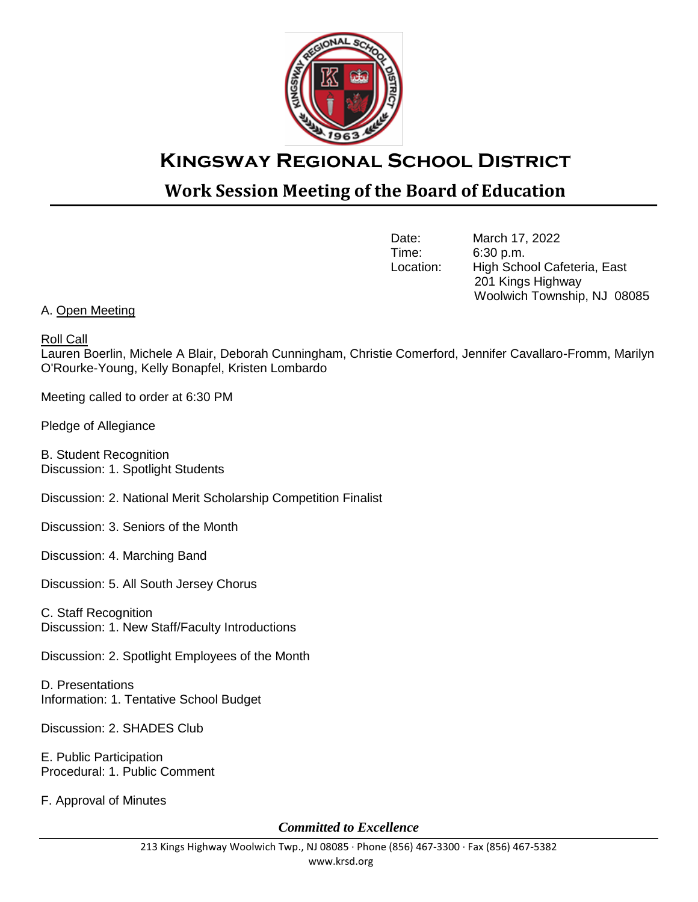

## **Kingsway Regional School District**

## **Work Session Meeting of the Board of Education**

Date: March 17, 2022<br>Time: 6:30 p.m. 6:30 p.m. Location: High School Cafeteria, East 201 Kings Highway Woolwich Township, NJ 08085

## A. Open Meeting

Roll Call

Lauren Boerlin, Michele A Blair, Deborah Cunningham, Christie Comerford, Jennifer Cavallaro-Fromm, Marilyn O'Rourke-Young, Kelly Bonapfel, Kristen Lombardo

Meeting called to order at 6:30 PM

Pledge of Allegiance

B. Student Recognition Discussion: 1. Spotlight Students

Discussion: 2. National Merit Scholarship Competition Finalist

Discussion: 3. Seniors of the Month

Discussion: 4. Marching Band

Discussion: 5. All South Jersey Chorus

C. Staff Recognition Discussion: 1. New Staff/Faculty Introductions

Discussion: 2. Spotlight Employees of the Month

D. Presentations Information: 1. Tentative School Budget

Discussion: 2. SHADES Club

E. Public Participation Procedural: 1. Public Comment

F. Approval of Minutes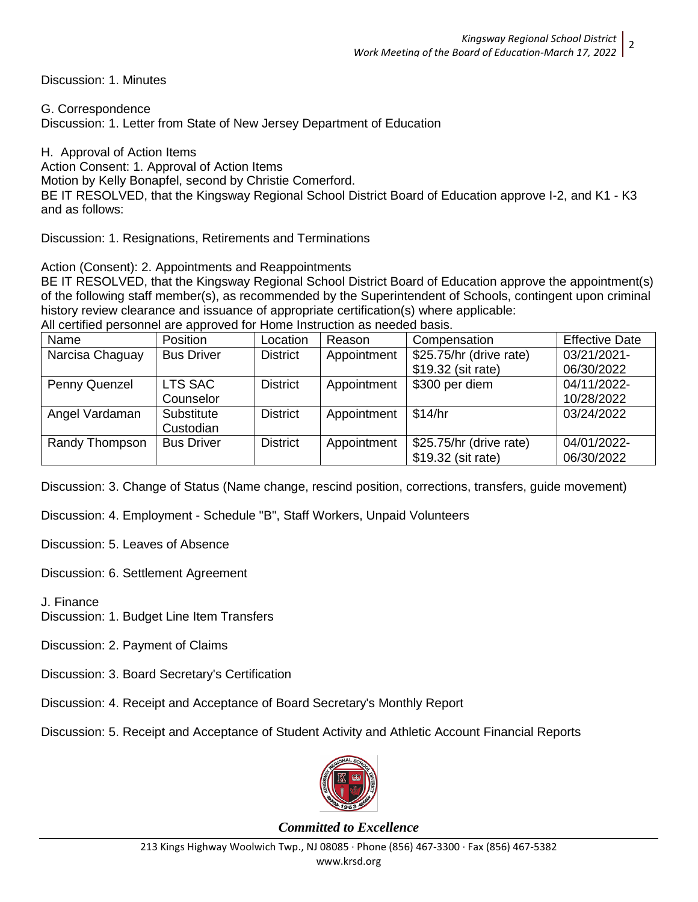Discussion: 1. Minutes

G. Correspondence Discussion: 1. Letter from State of New Jersey Department of Education

H. Approval of Action Items Action Consent: 1. Approval of Action Items Motion by Kelly Bonapfel, second by Christie Comerford. BE IT RESOLVED, that the Kingsway Regional School District Board of Education approve I-2, and K1 - K3 and as follows:

Discussion: 1. Resignations, Retirements and Terminations

Action (Consent): 2. Appointments and Reappointments

BE IT RESOLVED, that the Kingsway Regional School District Board of Education approve the appointment(s) of the following staff member(s), as recommended by the Superintendent of Schools, contingent upon criminal history review clearance and issuance of appropriate certification(s) where applicable:

|  |  | All certified personnel are approved for Home Instruction as needed basis. |
|--|--|----------------------------------------------------------------------------|

| Name            | <b>Position</b>   | Location        | Reason      | Compensation            | <b>Effective Date</b> |
|-----------------|-------------------|-----------------|-------------|-------------------------|-----------------------|
| Narcisa Chaguay | <b>Bus Driver</b> | <b>District</b> | Appointment | \$25.75/hr (drive rate) | 03/21/2021-           |
|                 |                   |                 |             | \$19.32 (sit rate)      | 06/30/2022            |
| Penny Quenzel   | LTS SAC           | <b>District</b> | Appointment | \$300 per diem          | 04/11/2022-           |
|                 | Counselor         |                 |             |                         | 10/28/2022            |
| Angel Vardaman  | Substitute        | <b>District</b> | Appointment | \$14/hr                 | 03/24/2022            |
|                 | Custodian         |                 |             |                         |                       |
| Randy Thompson  | <b>Bus Driver</b> | <b>District</b> | Appointment | \$25.75/hr (drive rate) | 04/01/2022-           |
|                 |                   |                 |             | \$19.32 (sit rate)      | 06/30/2022            |

Discussion: 3. Change of Status (Name change, rescind position, corrections, transfers, guide movement)

Discussion: 4. Employment - Schedule "B", Staff Workers, Unpaid Volunteers

Discussion: 5. Leaves of Absence

Discussion: 6. Settlement Agreement

J. Finance

Discussion: 1. Budget Line Item Transfers

Discussion: 2. Payment of Claims

Discussion: 3. Board Secretary's Certification

Discussion: 4. Receipt and Acceptance of Board Secretary's Monthly Report

Discussion: 5. Receipt and Acceptance of Student Activity and Athletic Account Financial Reports

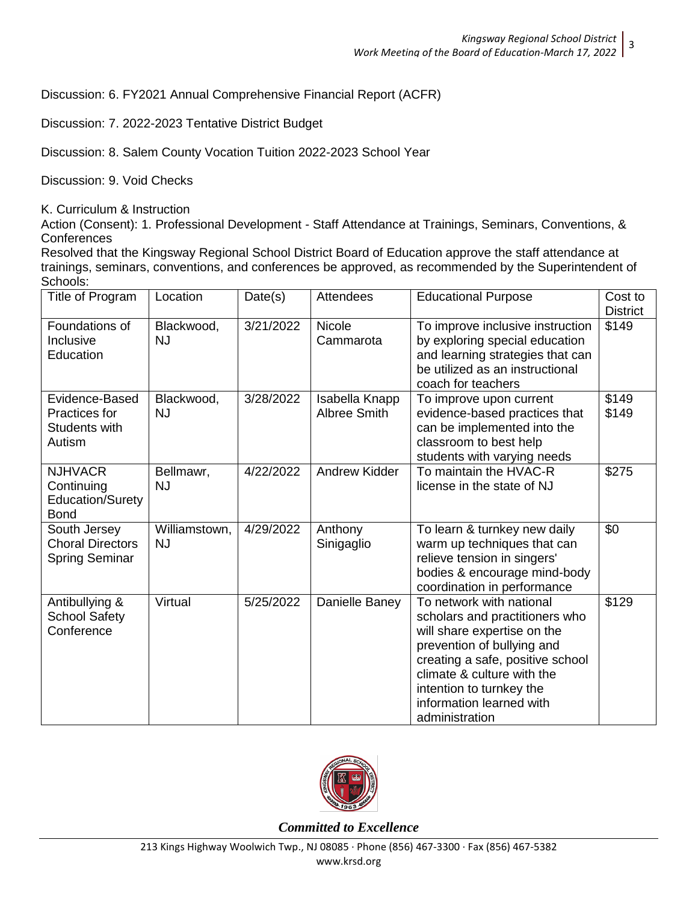Discussion: 6. FY2021 Annual Comprehensive Financial Report (ACFR)

Discussion: 7. 2022-2023 Tentative District Budget

Discussion: 8. Salem County Vocation Tuition 2022-2023 School Year

Discussion: 9. Void Checks

K. Curriculum & Instruction

Action (Consent): 1. Professional Development - Staff Attendance at Trainings, Seminars, Conventions, & **Conferences** 

Resolved that the Kingsway Regional School District Board of Education approve the staff attendance at trainings, seminars, conventions, and conferences be approved, as recommended by the Superintendent of Schools:

| Title of Program                                                 | Location                   | Date(s)   | Attendees                      | <b>Educational Purpose</b>                                                                                                                                                                                                                                          | Cost to<br><b>District</b> |
|------------------------------------------------------------------|----------------------------|-----------|--------------------------------|---------------------------------------------------------------------------------------------------------------------------------------------------------------------------------------------------------------------------------------------------------------------|----------------------------|
| Foundations of<br>Inclusive<br>Education                         | Blackwood,<br><b>NJ</b>    | 3/21/2022 | <b>Nicole</b><br>Cammarota     | To improve inclusive instruction<br>by exploring special education<br>and learning strategies that can<br>be utilized as an instructional<br>coach for teachers                                                                                                     | \$149                      |
| Evidence-Based<br>Practices for<br>Students with<br>Autism       | Blackwood,<br><b>NJ</b>    | 3/28/2022 | Isabella Knapp<br>Albree Smith | To improve upon current<br>evidence-based practices that<br>can be implemented into the<br>classroom to best help<br>students with varying needs                                                                                                                    | \$149<br>\$149             |
| <b>NJHVACR</b><br>Continuing<br>Education/Surety<br><b>Bond</b>  | Bellmawr,<br><b>NJ</b>     | 4/22/2022 | <b>Andrew Kidder</b>           | To maintain the HVAC-R<br>license in the state of NJ                                                                                                                                                                                                                | \$275                      |
| South Jersey<br><b>Choral Directors</b><br><b>Spring Seminar</b> | Williamstown,<br><b>NJ</b> | 4/29/2022 | Anthony<br>Sinigaglio          | To learn & turnkey new daily<br>warm up techniques that can<br>relieve tension in singers'<br>bodies & encourage mind-body<br>coordination in performance                                                                                                           | \$0                        |
| Antibullying &<br><b>School Safety</b><br>Conference             | Virtual                    | 5/25/2022 | Danielle Baney                 | To network with national<br>scholars and practitioners who<br>will share expertise on the<br>prevention of bullying and<br>creating a safe, positive school<br>climate & culture with the<br>intention to turnkey the<br>information learned with<br>administration | \$129                      |

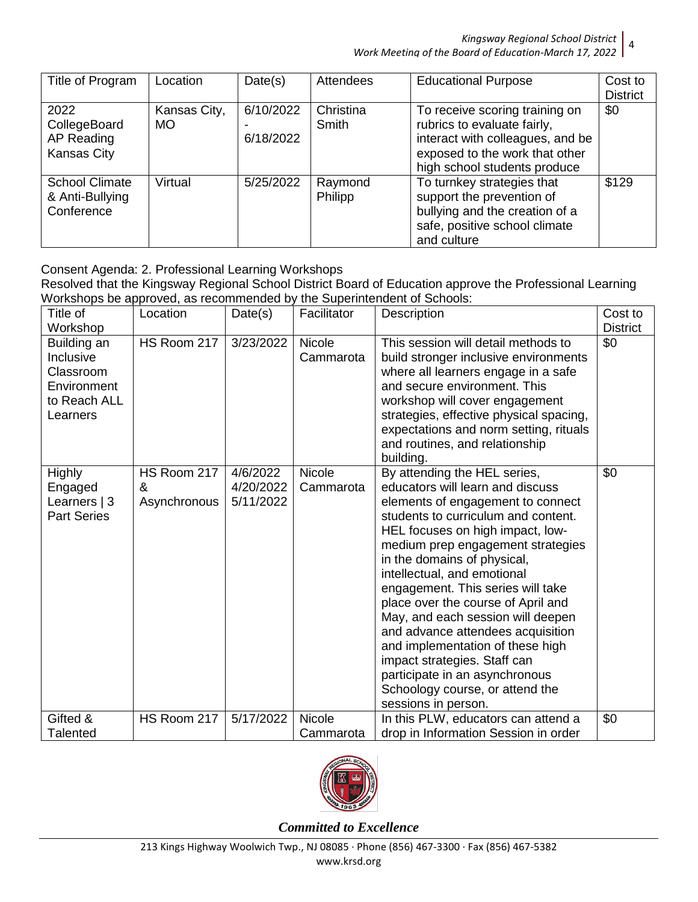*Kingsway Regional School District* 4

*Work Meeting of the Board of Education-March 17, 2022*

| Title of Program                                         | Location                  | Date(s)                | Attendees                 | <b>Educational Purpose</b>                                                                                                                                          | Cost to         |
|----------------------------------------------------------|---------------------------|------------------------|---------------------------|---------------------------------------------------------------------------------------------------------------------------------------------------------------------|-----------------|
|                                                          |                           |                        |                           |                                                                                                                                                                     | <b>District</b> |
| 2022<br>CollegeBoard<br>AP Reading<br><b>Kansas City</b> | Kansas City,<br><b>MO</b> | 6/10/2022<br>6/18/2022 | Christina<br><b>Smith</b> | To receive scoring training on<br>rubrics to evaluate fairly,<br>interact with colleagues, and be<br>exposed to the work that other<br>high school students produce | \$0             |
| <b>School Climate</b><br>& Anti-Bullying<br>Conference   | Virtual                   | 5/25/2022              | Raymond<br>Philipp        | To turnkey strategies that<br>support the prevention of<br>bullying and the creation of a<br>safe, positive school climate<br>and culture                           | \$129           |

Consent Agenda: 2. Professional Learning Workshops

Resolved that the Kingsway Regional School District Board of Education approve the Professional Learning Workshops be approved, as recommended by the Superintendent of Schools:

| Title of                                                                         | Location                         | Date(s)                            | Facilitator                | Description                                                                                                                                                                                                                                                                                                                                                                                                                                                                                                                                                                                              | Cost to         |
|----------------------------------------------------------------------------------|----------------------------------|------------------------------------|----------------------------|----------------------------------------------------------------------------------------------------------------------------------------------------------------------------------------------------------------------------------------------------------------------------------------------------------------------------------------------------------------------------------------------------------------------------------------------------------------------------------------------------------------------------------------------------------------------------------------------------------|-----------------|
| Workshop                                                                         |                                  |                                    |                            |                                                                                                                                                                                                                                                                                                                                                                                                                                                                                                                                                                                                          | <b>District</b> |
| Building an<br>Inclusive<br>Classroom<br>Environment<br>to Reach ALL<br>Learners | HS Room 217                      | 3/23/2022                          | <b>Nicole</b><br>Cammarota | This session will detail methods to<br>build stronger inclusive environments<br>where all learners engage in a safe<br>and secure environment. This<br>workshop will cover engagement<br>strategies, effective physical spacing,<br>expectations and norm setting, rituals<br>and routines, and relationship<br>building.                                                                                                                                                                                                                                                                                | \$0             |
| <b>Highly</b><br>Engaged<br>Learners $ 3 $<br><b>Part Series</b>                 | HS Room 217<br>&<br>Asynchronous | 4/6/2022<br>4/20/2022<br>5/11/2022 | <b>Nicole</b><br>Cammarota | By attending the HEL series,<br>educators will learn and discuss<br>elements of engagement to connect<br>students to curriculum and content.<br>HEL focuses on high impact, low-<br>medium prep engagement strategies<br>in the domains of physical,<br>intellectual, and emotional<br>engagement. This series will take<br>place over the course of April and<br>May, and each session will deepen<br>and advance attendees acquisition<br>and implementation of these high<br>impact strategies. Staff can<br>participate in an asynchronous<br>Schoology course, or attend the<br>sessions in person. | \$0             |
| Gifted &<br><b>Talented</b>                                                      | HS Room 217                      | 5/17/2022                          | <b>Nicole</b><br>Cammarota | In this PLW, educators can attend a<br>drop in Information Session in order                                                                                                                                                                                                                                                                                                                                                                                                                                                                                                                              | \$0             |

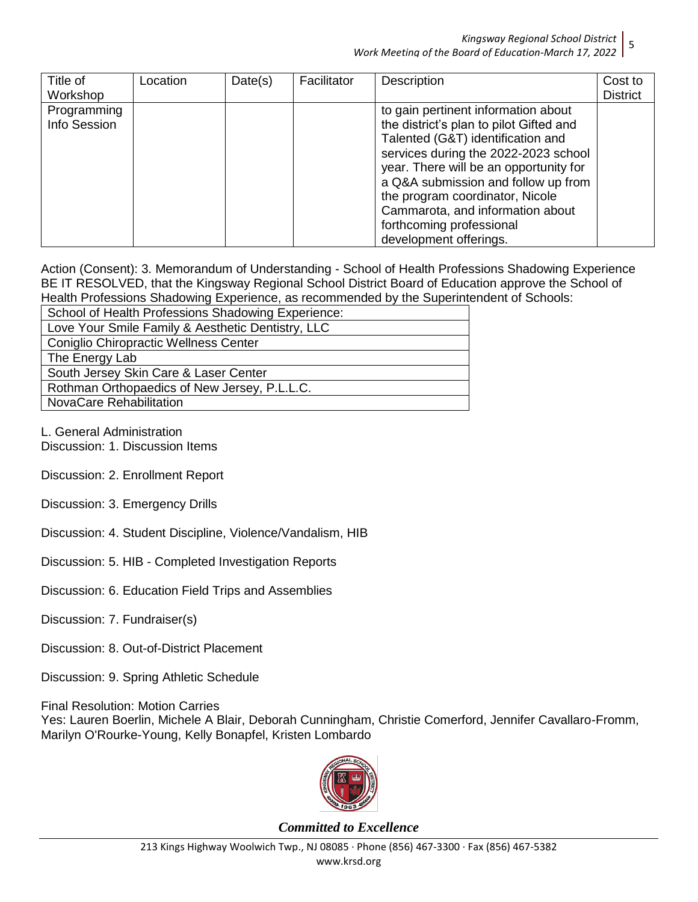## *Kingsway Regional School District* 5 *Work Meeting of the Board of Education-March 17, 2022*

| Title of<br>Workshop        | Location | Date(s) | Facilitator | Description                                                                                                                                                                                                                                                                                                                                                               | Cost to<br><b>District</b> |
|-----------------------------|----------|---------|-------------|---------------------------------------------------------------------------------------------------------------------------------------------------------------------------------------------------------------------------------------------------------------------------------------------------------------------------------------------------------------------------|----------------------------|
| Programming<br>Info Session |          |         |             | to gain pertinent information about<br>the district's plan to pilot Gifted and<br>Talented (G&T) identification and<br>services during the 2022-2023 school<br>year. There will be an opportunity for<br>a Q&A submission and follow up from<br>the program coordinator, Nicole<br>Cammarota, and information about<br>forthcoming professional<br>development offerings. |                            |

Action (Consent): 3. Memorandum of Understanding - School of Health Professions Shadowing Experience BE IT RESOLVED, that the Kingsway Regional School District Board of Education approve the School of Health Professions Shadowing Experience, as recommended by the Superintendent of Schools:

School of Health Professions Shadowing Experience: Love Your Smile Family & Aesthetic Dentistry, LLC Coniglio Chiropractic Wellness Center The Energy Lab South Jersey Skin Care & Laser Center Rothman Orthopaedics of New Jersey, P.L.L.C. NovaCare Rehabilitation

L. General Administration Discussion: 1. Discussion Items

Discussion: 2. Enrollment Report

- Discussion: 3. Emergency Drills
- Discussion: 4. Student Discipline, Violence/Vandalism, HIB
- Discussion: 5. HIB Completed Investigation Reports

Discussion: 6. Education Field Trips and Assemblies

Discussion: 7. Fundraiser(s)

Discussion: 8. Out-of-District Placement

Discussion: 9. Spring Athletic Schedule

Final Resolution: Motion Carries

Yes: Lauren Boerlin, Michele A Blair, Deborah Cunningham, Christie Comerford, Jennifer Cavallaro-Fromm, Marilyn O'Rourke-Young, Kelly Bonapfel, Kristen Lombardo